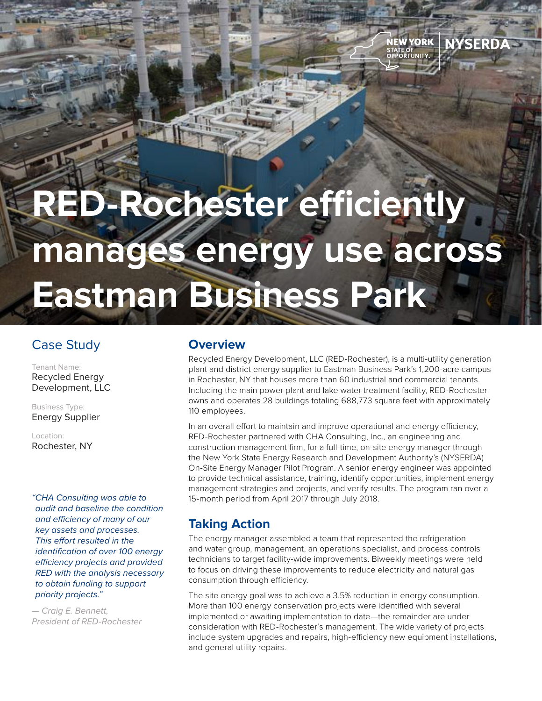# **RED-Rochester efficiently manages energy use across Eastman Business Park**

## Case Study

Tenant Name: Recycled Energy Development, LLC

Business Type: Energy Supplier

Location: Rochester, NY

*"CHA Consulting was able to audit and baseline the condition and efficiency of many of our key assets and processes. This effort resulted in the identification of over 100 energy efficiency projects and provided RED with the analysis necessary to obtain funding to support priority projects."*

*— Craig E. Bennett, President of RED-Rochester*

#### **Overview**

Recycled Energy Development, LLC (RED-Rochester), is a multi-utility generation plant and district energy supplier to Eastman Business Park's 1,200-acre campus in Rochester, NY that houses more than 60 industrial and commercial tenants. Including the main power plant and lake water treatment facility, RED-Rochester owns and operates 28 buildings totaling 688,773 square feet with approximately 110 employees.

NEW YORK

STATE OF<br>STATE OF<br>OPPORTUNITY

**NYSERDA** 

In an overall effort to maintain and improve operational and energy efficiency, RED-Rochester partnered with CHA Consulting, Inc., an engineering and construction management firm, for a full-time, on-site energy manager through the New York State Energy Research and Development Authority's (NYSERDA) On-Site Energy Manager Pilot Program. A senior energy engineer was appointed to provide technical assistance, training, identify opportunities, implement energy management strategies and projects, and verify results. The program ran over a 15-month period from April 2017 through July 2018.

## **Taking Action**

The energy manager assembled a team that represented the refrigeration and water group, management, an operations specialist, and process controls technicians to target facility-wide improvements. Biweekly meetings were held to focus on driving these improvements to reduce electricity and natural gas consumption through efficiency.

The site energy goal was to achieve a 3.5% reduction in energy consumption. More than 100 energy conservation projects were identified with several implemented or awaiting implementation to date—the remainder are under consideration with RED-Rochester's management. The wide variety of projects include system upgrades and repairs, high-efficiency new equipment installations, and general utility repairs.